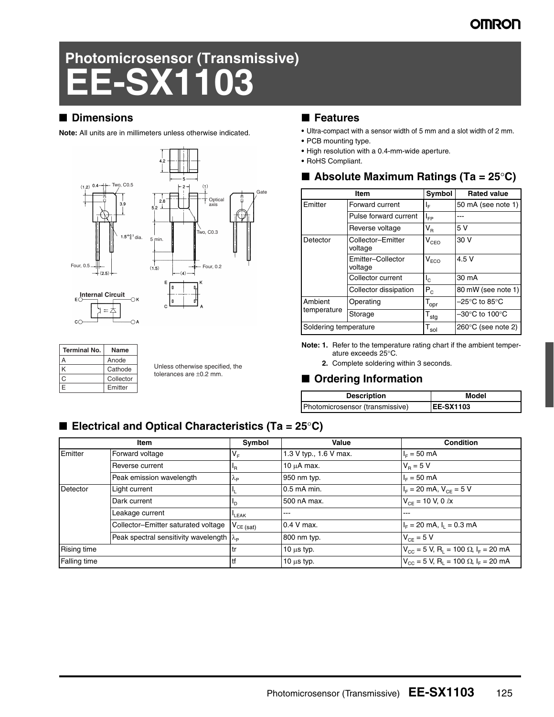### **OMRON**

# **Photomicrosensor (Transmissive) EE-SX1103**

#### ■ **Dimensions**

**Note:** All units are in millimeters unless otherwise indicated.



| <b>Terminal No.</b> | Name      |
|---------------------|-----------|
|                     | Anode     |
| К                   | Cathode   |
| n                   | Collector |
| F                   | Emitter   |

Unless otherwise specified, the tolerances are ±0.2 mm.

#### ■ **Features**

- **•** Ultra-compact with a sensor width of 5 mm and a slot width of 2 mm.
- **•** PCB mounting type.
- **•** High resolution with a 0.4-mm-wide aperture.
- **•** RoHS Compliant.

### ■ **Absolute Maximum Ratings (Ta = 25°C)**

|                       | Item                         | Symbol                      | <b>Rated value</b>                  |
|-----------------------|------------------------------|-----------------------------|-------------------------------------|
| Emitter               | Forward current              | ΙF                          | 50 mA (see note 1)                  |
|                       | Pulse forward current        | $I_{FP}$                    |                                     |
|                       | Reverse voltage              | $\mathsf{V}_\mathsf{R}$     | 5 V                                 |
| Detector              | Collector-Emitter<br>voltage | $V_{CEO}$                   | 30 V                                |
|                       | Emitter-Collector<br>voltage | V <sub>ECO</sub>            | 4.5V                                |
|                       | Collector current            | $I_{\odot}$                 | 30 mA                               |
|                       | Collector dissipation        | $P_C$                       | 80 mW (see note 1)                  |
| Ambient               | Operating                    | $\mathsf{T}_{\mathsf{opr}}$ | $-25^{\circ}$ C to 85 $^{\circ}$ C  |
| temperature           | Storage                      | $T_{\text{stg}}$            | $-30^{\circ}$ C to 100 $^{\circ}$ C |
| Soldering temperature |                              | $\mathsf{T}_{\mathsf{sol}}$ | $260^{\circ}$ C (see note 2)        |

**Note: 1.** Refer to the temperature rating chart if the ambient temperature exceeds 25°C.

**2.** Complete soldering within 3 seconds.

### ■ **Ordering Information**

| <b>Description</b>              | Model             |
|---------------------------------|-------------------|
| Photomicrosensor (transmissive) | <b>IEE-SX1103</b> |

### ■ **Electrical and Optical Characteristics (Ta = 25**°**C)**

|                     | Item                                                   | Symbol                     | Value                  | <b>Condition</b>                                                       |
|---------------------|--------------------------------------------------------|----------------------------|------------------------|------------------------------------------------------------------------|
| Emitter             | Forward voltage                                        | $V_F$                      | 1.3 V typ., 1.6 V max. | $I_F = 50$ mA                                                          |
|                     | Reverse current                                        | <sup>I</sup> R             | $10 \mu A$ max.        | $V_{\rm B} = 5 V$                                                      |
|                     | Peak emission wavelength                               | $\mathcal{A}_{\mathsf{P}}$ | 950 nm typ.            | $I_F = 50$ mA                                                          |
| Detector            | Light current                                          |                            | 0.5 mA min.            | $I_F = 20$ mA, $V_{CF} = 5$ V                                          |
|                     | Dark current                                           | 'D                         | 500 nA max.            | $V_{CF}$ = 10 V, 0 $\ell x$                                            |
|                     | Leakage current                                        | <b>LEAK</b>                | ---                    | ---                                                                    |
|                     | Collector-Emitter saturated voltage                    | $V_{CE (sat)}$             | $0.4$ V max.           | $IF = 20$ mA, $I1 = 0.3$ mA                                            |
|                     | Peak spectral sensitivity wavelength $\lambda_{\rm P}$ |                            | 800 nm typ.            | $V_{CE} = 5 V$                                                         |
| <b>Rising time</b>  |                                                        | l tr                       | 10 $\mu$ s typ.        | $V_{CC}$ = 5 V, R <sub>1</sub> = 100 $\Omega$ , I <sub>F</sub> = 20 mA |
| <b>Falling time</b> |                                                        | l tf                       | $10 \mu s$ typ.        | $V_{CC}$ = 5 V, R <sub>1</sub> = 100 $\Omega$ , I <sub>F</sub> = 20 mA |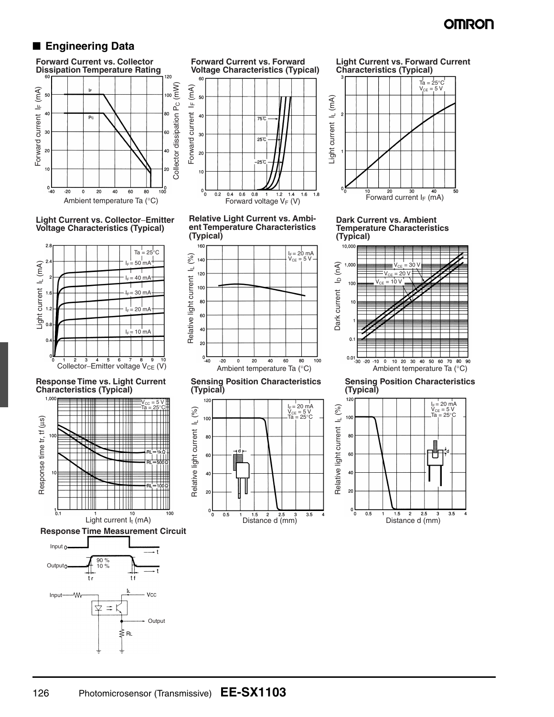### **OMRON**

### ■ **Engineering Data**







**Response Time vs. Light Current Characteristics (Typical)**



**Response Time Measurement Circuit**













**Sensing Position Characteristics (Typical)**







**Dark Current vs. Ambient Temperature Characteristics (Typical)**



### 126 Photomicrosensor (Transmissive) **EE-SX1103**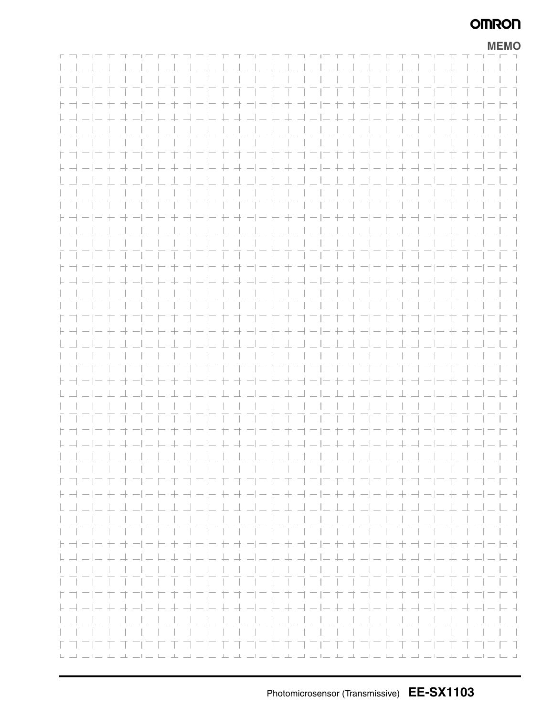### **OMRON**

|                                                                                                                                                                                                                                                                                                                                                                                                         |  |  |  |  |  |  |  |         |                 |  |     |                                        |       |  |     |       |                                                                               |  |  | <b>MEMO</b>                                                                                               |
|---------------------------------------------------------------------------------------------------------------------------------------------------------------------------------------------------------------------------------------------------------------------------------------------------------------------------------------------------------------------------------------------------------|--|--|--|--|--|--|--|---------|-----------------|--|-----|----------------------------------------|-------|--|-----|-------|-------------------------------------------------------------------------------|--|--|-----------------------------------------------------------------------------------------------------------|
|                                                                                                                                                                                                                                                                                                                                                                                                         |  |  |  |  |  |  |  |         |                 |  |     |                                        |       |  |     |       |                                                                               |  |  | $\Box$                                                                                                    |
|                                                                                                                                                                                                                                                                                                                                                                                                         |  |  |  |  |  |  |  |         |                 |  |     |                                        |       |  |     |       |                                                                               |  |  |                                                                                                           |
|                                                                                                                                                                                                                                                                                                                                                                                                         |  |  |  |  |  |  |  |         |                 |  |     |                                        |       |  |     |       |                                                                               |  |  |                                                                                                           |
|                                                                                                                                                                                                                                                                                                                                                                                                         |  |  |  |  |  |  |  |         |                 |  |     | .                                      |       |  |     |       |                                                                               |  |  | $\vert \cdot \vert$                                                                                       |
| $\vdash \neg \vdash \neg \vdash$                                                                                                                                                                                                                                                                                                                                                                        |  |  |  |  |  |  |  | コーヒキヨーヒ |                 |  |     |                                        | $\pm$ |  |     |       |                                                                               |  |  | - -                                                                                                       |
|                                                                                                                                                                                                                                                                                                                                                                                                         |  |  |  |  |  |  |  |         |                 |  |     | ニ ト ヰ コ ニ ト ヰ コ ニ  ニ ト ヰ コ ニ           |       |  |     |       |                                                                               |  |  | $=$ $\overline{\phantom{a}}$                                                                              |
|                                                                                                                                                                                                                                                                                                                                                                                                         |  |  |  |  |  |  |  |         |                 |  |     |                                        |       |  |     |       |                                                                               |  |  |                                                                                                           |
|                                                                                                                                                                                                                                                                                                                                                                                                         |  |  |  |  |  |  |  |         |                 |  |     | .                                      |       |  |     |       |                                                                               |  |  | $\mathbf{1}$                                                                                              |
|                                                                                                                                                                                                                                                                                                                                                                                                         |  |  |  |  |  |  |  |         |                 |  |     | フロ セオフロヒキココロセオ                         |       |  |     | コニロエ  |                                                                               |  |  | ロコ                                                                                                        |
|                                                                                                                                                                                                                                                                                                                                                                                                         |  |  |  |  |  |  |  |         |                 |  |     |                                        |       |  |     |       | ト - - - - + - - - - + - - - + - - - + - - - + - - - + - - - + - - - + - - - - |  |  | $-1 - 1 - 1$                                                                                              |
|                                                                                                                                                                                                                                                                                                                                                                                                         |  |  |  |  |  |  |  |         |                 |  |     | $-1$ $-1$ $-1$ $-1$ $-1$               |       |  |     |       |                                                                               |  |  |                                                                                                           |
|                                                                                                                                                                                                                                                                                                                                                                                                         |  |  |  |  |  |  |  |         |                 |  |     |                                        |       |  |     |       |                                                                               |  |  |                                                                                                           |
|                                                                                                                                                                                                                                                                                                                                                                                                         |  |  |  |  |  |  |  |         |                 |  |     |                                        |       |  |     |       |                                                                               |  |  |                                                                                                           |
|                                                                                                                                                                                                                                                                                                                                                                                                         |  |  |  |  |  |  |  |         |                 |  |     | .                                      |       |  |     |       |                                                                               |  |  | $\mathbf{1}$                                                                                              |
| $\vdash \dashv - \vdash + \dashv$                                                                                                                                                                                                                                                                                                                                                                       |  |  |  |  |  |  |  |         |                 |  |     | + + - - - + - - - + + - - +            |       |  |     |       | - + - - -                                                                     |  |  | $\vdash$ +                                                                                                |
|                                                                                                                                                                                                                                                                                                                                                                                                         |  |  |  |  |  |  |  |         |                 |  |     |                                        |       |  |     |       |                                                                               |  |  |                                                                                                           |
|                                                                                                                                                                                                                                                                                                                                                                                                         |  |  |  |  |  |  |  |         |                 |  |     |                                        |       |  |     |       |                                                                               |  |  |                                                                                                           |
|                                                                                                                                                                                                                                                                                                                                                                                                         |  |  |  |  |  |  |  |         |                 |  |     |                                        |       |  |     |       |                                                                               |  |  | $\vert \cdot \vert$                                                                                       |
|                                                                                                                                                                                                                                                                                                                                                                                                         |  |  |  |  |  |  |  |         |                 |  | ヨコニ |                                        |       |  |     |       |                                                                               |  |  | - 1                                                                                                       |
|                                                                                                                                                                                                                                                                                                                                                                                                         |  |  |  |  |  |  |  |         |                 |  |     | - + + -   -  - + -  -  - + -  -  - + - |       |  |     |       |                                                                               |  |  | $=$ $=$ $\pm$                                                                                             |
|                                                                                                                                                                                                                                                                                                                                                                                                         |  |  |  |  |  |  |  |         |                 |  |     |                                        |       |  |     |       |                                                                               |  |  |                                                                                                           |
|                                                                                                                                                                                                                                                                                                                                                                                                         |  |  |  |  |  |  |  |         |                 |  |     |                                        |       |  |     |       |                                                                               |  |  | $\vert \vert$                                                                                             |
|                                                                                                                                                                                                                                                                                                                                                                                                         |  |  |  |  |  |  |  |         |                 |  |     | コニヒキコニヒモオ                              |       |  | 三二二 |       |                                                                               |  |  |                                                                                                           |
|                                                                                                                                                                                                                                                                                                                                                                                                         |  |  |  |  |  |  |  |         |                 |  |     |                                        |       |  |     |       | ト - - - - + - - - - + - - - + - - - + - - - + - - - + - - - + - - - + - - -   |  |  |                                                                                                           |
|                                                                                                                                                                                                                                                                                                                                                                                                         |  |  |  |  |  |  |  |         | <b>Contract</b> |  |     | $-1 - 1 - 1$                           |       |  |     |       |                                                                               |  |  |                                                                                                           |
|                                                                                                                                                                                                                                                                                                                                                                                                         |  |  |  |  |  |  |  |         |                 |  |     |                                        |       |  |     |       |                                                                               |  |  |                                                                                                           |
|                                                                                                                                                                                                                                                                                                                                                                                                         |  |  |  |  |  |  |  |         |                 |  |     |                                        |       |  |     |       |                                                                               |  |  | - 1                                                                                                       |
| $\vdash \neg \vdash \neg \vdash$                                                                                                                                                                                                                                                                                                                                                                        |  |  |  |  |  |  |  |         |                 |  |     |                                        |       |  |     |       |                                                                               |  |  |                                                                                                           |
|                                                                                                                                                                                                                                                                                                                                                                                                         |  |  |  |  |  |  |  |         |                 |  |     | キ オ ー ー ト キ ー ー ト キ ー ー ト              |       |  |     |       | キョーー                                                                          |  |  | $-+ +$                                                                                                    |
|                                                                                                                                                                                                                                                                                                                                                                                                         |  |  |  |  |  |  |  |         |                 |  |     |                                        |       |  |     |       |                                                                               |  |  | $\vert \cdot \vert$                                                                                       |
|                                                                                                                                                                                                                                                                                                                                                                                                         |  |  |  |  |  |  |  |         |                 |  |     |                                        |       |  |     |       |                                                                               |  |  |                                                                                                           |
|                                                                                                                                                                                                                                                                                                                                                                                                         |  |  |  |  |  |  |  |         |                 |  |     |                                        |       |  |     |       |                                                                               |  |  |                                                                                                           |
|                                                                                                                                                                                                                                                                                                                                                                                                         |  |  |  |  |  |  |  |         |                 |  |     |                                        |       |  |     |       |                                                                               |  |  | 는데                                                                                                        |
|                                                                                                                                                                                                                                                                                                                                                                                                         |  |  |  |  |  |  |  |         |                 |  |     |                                        |       |  |     |       |                                                                               |  |  | トコート トコート キコート トコート トコート トコート キコート キュート キー                                                                |
|                                                                                                                                                                                                                                                                                                                                                                                                         |  |  |  |  |  |  |  |         |                 |  |     |                                        |       |  |     |       |                                                                               |  |  |                                                                                                           |
|                                                                                                                                                                                                                                                                                                                                                                                                         |  |  |  |  |  |  |  |         |                 |  |     |                                        |       |  |     |       |                                                                               |  |  | $\mathcal{L}$                                                                                             |
|                                                                                                                                                                                                                                                                                                                                                                                                         |  |  |  |  |  |  |  |         |                 |  |     |                                        |       |  |     |       |                                                                               |  |  | $\Box$                                                                                                    |
|                                                                                                                                                                                                                                                                                                                                                                                                         |  |  |  |  |  |  |  |         |                 |  |     |                                        |       |  |     |       |                                                                               |  |  | ┝╶┥╼╟╸╄╶┽╼╟╾╊╌┽╼╢═┝╴┽╺╢╼╞╌┾╶┥╼╟╸┾╶┽╼╢╼┝╸┾╶╢╼╟╾┾╶╢╼╠╸┥                                                     |
|                                                                                                                                                                                                                                                                                                                                                                                                         |  |  |  |  |  |  |  |         |                 |  |     |                                        |       |  |     |       | <u> - Literatura de la dela del l</u>                                         |  |  |                                                                                                           |
|                                                                                                                                                                                                                                                                                                                                                                                                         |  |  |  |  |  |  |  |         |                 |  |     |                                        |       |  |     |       |                                                                               |  |  |                                                                                                           |
|                                                                                                                                                                                                                                                                                                                                                                                                         |  |  |  |  |  |  |  |         |                 |  |     |                                        |       |  |     |       |                                                                               |  |  |                                                                                                           |
| トヨーヒモ                                                                                                                                                                                                                                                                                                                                                                                                   |  |  |  |  |  |  |  |         |                 |  |     | オーヒキオーヒヒキヨーヒセ                          |       |  |     | オーヒーキ |                                                                               |  |  | コーヒュ                                                                                                      |
|                                                                                                                                                                                                                                                                                                                                                                                                         |  |  |  |  |  |  |  |         |                 |  |     |                                        |       |  |     |       |                                                                               |  |  | المساحية والمساحية والمساحية والمساحية والمساحية والمساحية                                                |
|                                                                                                                                                                                                                                                                                                                                                                                                         |  |  |  |  |  |  |  |         |                 |  |     |                                        |       |  |     |       |                                                                               |  |  |                                                                                                           |
| $  -   -   -   -   -  $                                                                                                                                                                                                                                                                                                                                                                                 |  |  |  |  |  |  |  |         |                 |  |     | .                                      |       |  |     |       |                                                                               |  |  | and the state                                                                                             |
|                                                                                                                                                                                                                                                                                                                                                                                                         |  |  |  |  |  |  |  |         |                 |  |     |                                        |       |  |     |       |                                                                               |  |  | .                                                                                                         |
| トココロトオ                                                                                                                                                                                                                                                                                                                                                                                                  |  |  |  |  |  |  |  |         |                 |  |     | コーヒナ オコニヒ キヨーヒ セオコニヒキ                  |       |  |     |       |                                                                               |  |  | ココロエコココロコ                                                                                                 |
|                                                                                                                                                                                                                                                                                                                                                                                                         |  |  |  |  |  |  |  |         |                 |  |     |                                        |       |  |     |       |                                                                               |  |  |                                                                                                           |
|                                                                                                                                                                                                                                                                                                                                                                                                         |  |  |  |  |  |  |  |         |                 |  |     |                                        |       |  |     |       |                                                                               |  |  |                                                                                                           |
|                                                                                                                                                                                                                                                                                                                                                                                                         |  |  |  |  |  |  |  |         |                 |  |     |                                        |       |  |     |       |                                                                               |  |  | $\Box$                                                                                                    |
|                                                                                                                                                                                                                                                                                                                                                                                                         |  |  |  |  |  |  |  |         |                 |  |     |                                        |       |  |     |       |                                                                               |  |  | - 1                                                                                                       |
| $\mathbb{L}^{\mathbb{L}}\mathbb{L}^{\mathbb{L}}\mathbb{L}^{\mathbb{L}}\mathbb{L}^{\mathbb{L}}\mathbb{L}^{\mathbb{L}}\mathbb{L}^{\mathbb{L}}\mathbb{L}^{\mathbb{L}}\mathbb{L}^{\mathbb{L}}\mathbb{L}^{\mathbb{L}}\mathbb{L}^{\mathbb{L}}\mathbb{L}^{\mathbb{L}}\mathbb{L}^{\mathbb{L}}\mathbb{L}^{\mathbb{L}}\mathbb{L}^{\mathbb{L}}\mathbb{L}^{\mathbb{L}}\mathbb{L}^{\mathbb{L}}\mathbb{L}^{\mathbb{L$ |  |  |  |  |  |  |  |         |                 |  |     |                                        |       |  |     |       |                                                                               |  |  | الرابط بكارك بالمرابط بكاركم المرابط المرابط المرابط المرابط بكار بكاركم بالمرابط الكرامي المرابط الكرامي |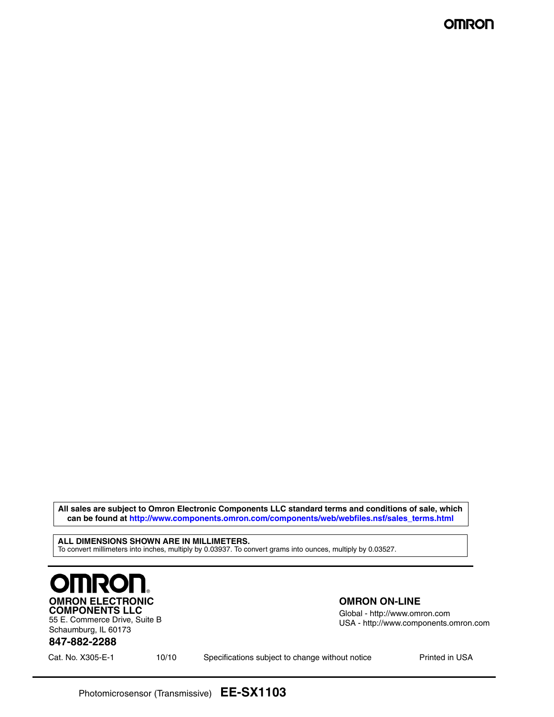**All sales are subject to Omron Electronic Components LLC standard terms and conditions of sale, which can be found at http://www.components.omron.com/components/web/webfiles.nsf/sales\_terms.html**

**ALL DIMENSIONS SHOWN ARE IN MILLIMETERS.** To convert millimeters into inches, multiply by 0.03937. To convert grams into ounces, multiply by 0.03527.



55 E. Commerce Drive, Suite B Schaumburg, IL 60173

#### **OMRON ON-LINE**

Global - http://www.omron.com USA - http://www.components.omron.com

### **847-882-2288**

Cat. No. X305-E-1 **Printed in USA** Specifications subject to change without notice **Printed in USA**